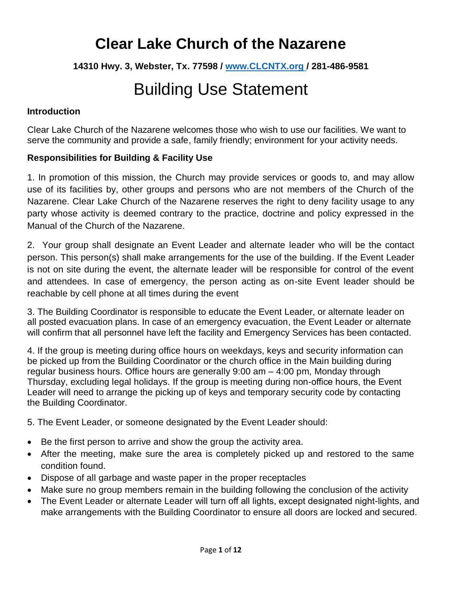**14310 Hwy. 3, Webster, Tx. 77598 / [www.CLCNTX.org](http://www.clcntx.org/) / 281-486-9581**

# Building Use Statement

### **Introduction**

Clear Lake Church of the Nazarene welcomes those who wish to use our facilities. We want to serve the community and provide a safe, family friendly; environment for your activity needs.

### **Responsibilities for Building & Facility Use**

1. In promotion of this mission, the Church may provide services or goods to, and may allow use of its facilities by, other groups and persons who are not members of the Church of the Nazarene. Clear Lake Church of the Nazarene reserves the right to deny facility usage to any party whose activity is deemed contrary to the practice, doctrine and policy expressed in the Manual of the Church of the Nazarene.

2. Your group shall designate an Event Leader and alternate leader who will be the contact person. This person(s) shall make arrangements for the use of the building. If the Event Leader is not on site during the event, the alternate leader will be responsible for control of the event and attendees. In case of emergency, the person acting as on-site Event leader should be reachable by cell phone at all times during the event

3. The Building Coordinator is responsible to educate the Event Leader, or alternate leader on all posted evacuation plans. In case of an emergency evacuation, the Event Leader or alternate will confirm that all personnel have left the facility and Emergency Services has been contacted.

4. If the group is meeting during office hours on weekdays, keys and security information can be picked up from the Building Coordinator or the church office in the Main building during regular business hours. Office hours are generally 9:00 am – 4:00 pm, Monday through Thursday, excluding legal holidays. If the group is meeting during non-office hours, the Event Leader will need to arrange the picking up of keys and temporary security code by contacting the Building Coordinator.

5. The Event Leader, or someone designated by the Event Leader should:

- Be the first person to arrive and show the group the activity area.
- After the meeting, make sure the area is completely picked up and restored to the same condition found.
- Dispose of all garbage and waste paper in the proper receptacles
- Make sure no group members remain in the building following the conclusion of the activity
- The Event Leader or alternate Leader will turn off all lights, except designated night-lights, and make arrangements with the Building Coordinator to ensure all doors are locked and secured.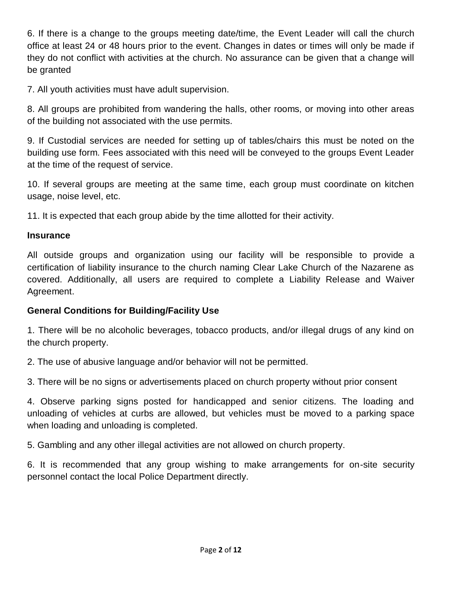6. If there is a change to the groups meeting date/time, the Event Leader will call the church office at least 24 or 48 hours prior to the event. Changes in dates or times will only be made if they do not conflict with activities at the church. No assurance can be given that a change will be granted

7. All youth activities must have adult supervision.

8. All groups are prohibited from wandering the halls, other rooms, or moving into other areas of the building not associated with the use permits.

9. If Custodial services are needed for setting up of tables/chairs this must be noted on the building use form. Fees associated with this need will be conveyed to the groups Event Leader at the time of the request of service.

10. If several groups are meeting at the same time, each group must coordinate on kitchen usage, noise level, etc.

11. It is expected that each group abide by the time allotted for their activity.

#### **Insurance**

All outside groups and organization using our facility will be responsible to provide a certification of liability insurance to the church naming Clear Lake Church of the Nazarene as covered. Additionally, all users are required to complete a Liability Release and Waiver Agreement.

#### **General Conditions for Building/Facility Use**

1. There will be no alcoholic beverages, tobacco products, and/or illegal drugs of any kind on the church property.

2. The use of abusive language and/or behavior will not be permitted.

3. There will be no signs or advertisements placed on church property without prior consent

4. Observe parking signs posted for handicapped and senior citizens. The loading and unloading of vehicles at curbs are allowed, but vehicles must be moved to a parking space when loading and unloading is completed.

5. Gambling and any other illegal activities are not allowed on church property.

6. It is recommended that any group wishing to make arrangements for on-site security personnel contact the local Police Department directly.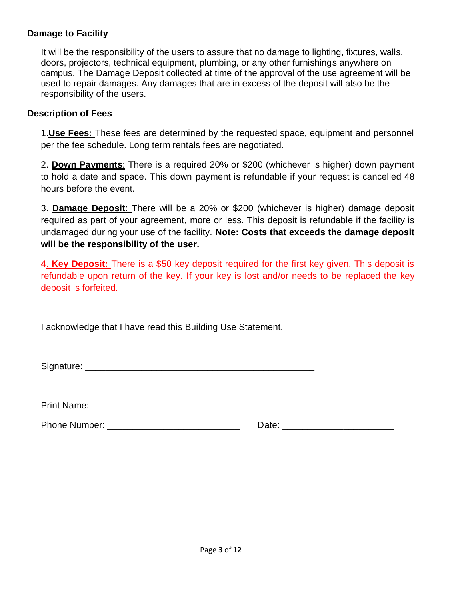#### **Damage to Facility**

It will be the responsibility of the users to assure that no damage to lighting, fixtures, walls, doors, projectors, technical equipment, plumbing, or any other furnishings anywhere on campus. The Damage Deposit collected at time of the approval of the use agreement will be used to repair damages. Any damages that are in excess of the deposit will also be the responsibility of the users.

#### **Description of Fees**

1.**Use Fees:** These fees are determined by the requested space, equipment and personnel per the fee schedule. Long term rentals fees are negotiated.

2. **Down Payments**: There is a required 20% or \$200 (whichever is higher) down payment to hold a date and space. This down payment is refundable if your request is cancelled 48 hours before the event.

3. **Damage Deposit**: There will be a 20% or \$200 (whichever is higher) damage deposit required as part of your agreement, more or less. This deposit is refundable if the facility is undamaged during your use of the facility. **Note: Costs that exceeds the damage deposit will be the responsibility of the user.** 

4. **Key Deposit:** There is a \$50 key deposit required for the first key given. This deposit is refundable upon return of the key. If your key is lost and/or needs to be replaced the key deposit is forfeited.

I acknowledge that I have read this Building Use Statement.

Signature: \_\_\_\_\_\_\_\_\_\_\_\_\_\_\_\_\_\_\_\_\_\_\_\_\_\_\_\_\_\_\_\_\_\_\_\_\_\_\_\_\_\_\_\_\_

Print Name: \_\_\_\_\_\_\_\_\_\_\_\_\_\_\_\_\_\_\_\_\_\_\_\_\_\_\_\_\_\_\_\_\_\_\_\_\_\_\_\_\_\_\_\_

Phone Number: \_\_\_\_\_\_\_\_\_\_\_\_\_\_\_\_\_\_\_\_\_\_\_\_\_\_ Date: \_\_\_\_\_\_\_\_\_\_\_\_\_\_\_\_\_\_\_\_\_\_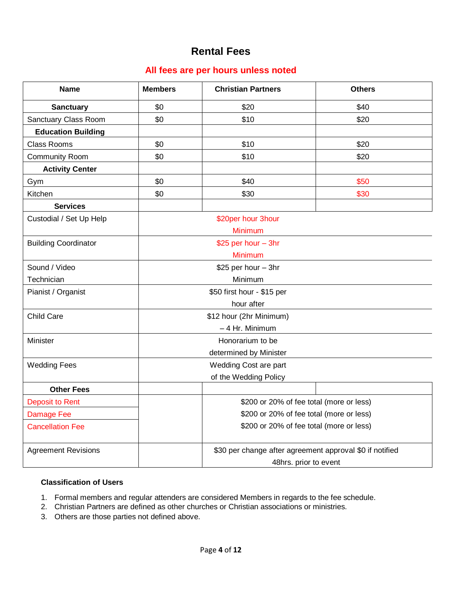## **Rental Fees**

#### **All fees are per hours unless noted**

| <b>Name</b>                 | <b>Members</b>                                           | <b>Christian Partners</b> | <b>Others</b> |  |  |  |  |
|-----------------------------|----------------------------------------------------------|---------------------------|---------------|--|--|--|--|
| <b>Sanctuary</b>            | \$0                                                      | \$20                      | \$40          |  |  |  |  |
| Sanctuary Class Room        | \$0                                                      | \$10<br>\$20              |               |  |  |  |  |
| <b>Education Building</b>   |                                                          |                           |               |  |  |  |  |
| <b>Class Rooms</b>          | \$0                                                      | \$10<br>\$20              |               |  |  |  |  |
| <b>Community Room</b>       | \$0                                                      | \$10<br>\$20              |               |  |  |  |  |
| <b>Activity Center</b>      |                                                          |                           |               |  |  |  |  |
| Gym                         | \$0                                                      | \$40                      | \$50          |  |  |  |  |
| Kitchen                     | \$0                                                      | \$30                      | \$30          |  |  |  |  |
| <b>Services</b>             |                                                          |                           |               |  |  |  |  |
| Custodial / Set Up Help     | \$20per hour 3hour                                       |                           |               |  |  |  |  |
|                             | Minimum                                                  |                           |               |  |  |  |  |
| <b>Building Coordinator</b> | \$25 per hour - 3hr                                      |                           |               |  |  |  |  |
|                             |                                                          | Minimum                   |               |  |  |  |  |
| Sound / Video               | \$25 per hour - 3hr                                      |                           |               |  |  |  |  |
| Technician                  | Minimum                                                  |                           |               |  |  |  |  |
| Pianist / Organist          | \$50 first hour - \$15 per                               |                           |               |  |  |  |  |
|                             | hour after                                               |                           |               |  |  |  |  |
| Child Care                  | \$12 hour (2hr Minimum)                                  |                           |               |  |  |  |  |
|                             | - 4 Hr. Minimum                                          |                           |               |  |  |  |  |
| Minister                    | Honorarium to be                                         |                           |               |  |  |  |  |
|                             |                                                          | determined by Minister    |               |  |  |  |  |
| <b>Wedding Fees</b>         | Wedding Cost are part                                    |                           |               |  |  |  |  |
|                             |                                                          | of the Wedding Policy     |               |  |  |  |  |
| <b>Other Fees</b>           |                                                          |                           |               |  |  |  |  |
| <b>Deposit to Rent</b>      | \$200 or 20% of fee total (more or less)                 |                           |               |  |  |  |  |
| <b>Damage Fee</b>           | \$200 or 20% of fee total (more or less)                 |                           |               |  |  |  |  |
| <b>Cancellation Fee</b>     | \$200 or 20% of fee total (more or less)                 |                           |               |  |  |  |  |
| <b>Agreement Revisions</b>  | \$30 per change after agreement approval \$0 if notified |                           |               |  |  |  |  |
|                             |                                                          | 48hrs. prior to event     |               |  |  |  |  |

#### **Classification of Users**

- 1. Formal members and regular attenders are considered Members in regards to the fee schedule.
- 2. Christian Partners are defined as other churches or Christian associations or ministries.
- 3. Others are those parties not defined above.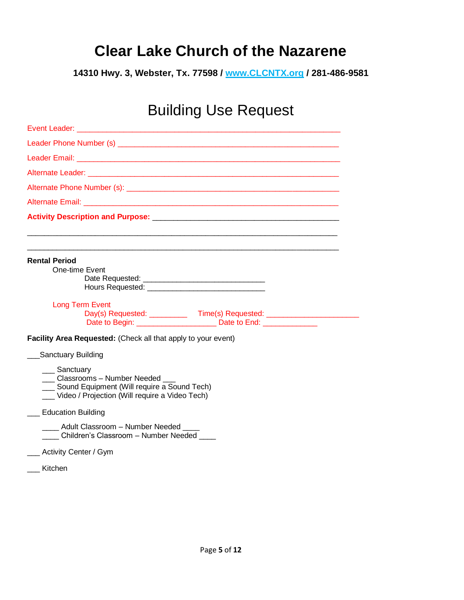**14310 Hwy. 3, Webster, Tx. 77598 / www.CLCNTX.org / 281-486-9581**

# Building Use Request

| <b>Event Leader:</b><br><u> 1989 - Johann John Stone, mars and deutscher Stone († 1989)</u>                                                                                                                                          |
|--------------------------------------------------------------------------------------------------------------------------------------------------------------------------------------------------------------------------------------|
|                                                                                                                                                                                                                                      |
| <b>Leader Email: All and All and All and All and All and All and All and All and All and All and All and All and A</b>                                                                                                               |
| Alternate Leader: Alternative Contract and Alternative Contract and Alternative Contract and Alternative Contract and Alternative Contract and Alternative Contract and Alternative Contract and Alternative Contract and Alte       |
|                                                                                                                                                                                                                                      |
| Alternate Email: <b>Alternate Service Service Service Service Service Service Service Service Service Service Service Service Service Service Service Service Service Service Service Service Service Service Service Service Se</b> |
|                                                                                                                                                                                                                                      |
|                                                                                                                                                                                                                                      |
| <b>Rental Period</b>                                                                                                                                                                                                                 |
| One-time Event                                                                                                                                                                                                                       |
|                                                                                                                                                                                                                                      |
|                                                                                                                                                                                                                                      |
| <b>Long Term Event</b>                                                                                                                                                                                                               |
| Day(s) Requested: _____________ Time(s) Requested: _____________________________<br>Date to Begin: Date to End:                                                                                                                      |
| Facility Area Requested: (Check all that apply to your event)                                                                                                                                                                        |
| Sanctuary Building                                                                                                                                                                                                                   |
| __ Sanctuary<br>Classrooms - Number Needed<br>Sound Equipment (Will require a Sound Tech)<br>Video / Projection (Will require a Video Tech)                                                                                          |
| __ Education Building                                                                                                                                                                                                                |
| ____ Adult Classroom - Number Needed ____<br>Children's Classroom - Number Needed                                                                                                                                                    |
| ___ Activity Center / Gym                                                                                                                                                                                                            |
| Kitchen                                                                                                                                                                                                                              |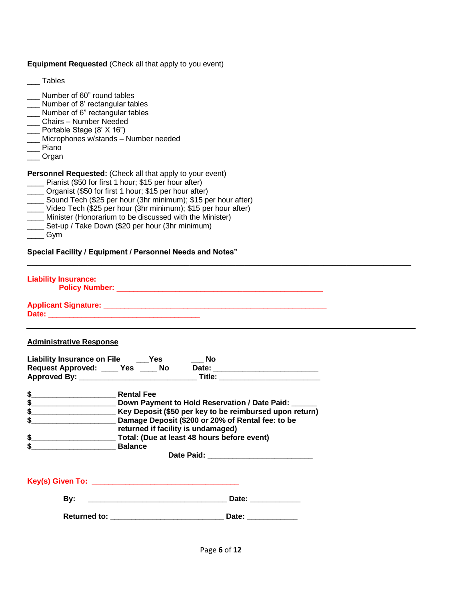**Equipment Requested** (Check all that apply to you event)

\_\_\_ Tables

- \_\_\_ Number of 60" round tables
- \_\_\_ Number of 8' rectangular tables
- \_\_\_ Number of 6" rectangular tables
- \_\_\_ Chairs Number Needed
- \_\_\_ Portable Stage (8' X 16")
- \_\_\_ Microphones w/stands Number needed
- Piano<sup>1</sup>
- \_\_\_ Organ

**Personnel Requested:** (Check all that apply to your event)

- \_\_\_\_ Pianist (\$50 for first 1 hour; \$15 per hour after)
- \_\_\_\_ Organist (\$50 for first 1 hour; \$15 per hour after)
- \_\_\_\_ Sound Tech (\$25 per hour (3hr minimum); \$15 per hour after)
- $\overline{\phantom{a}}$  Video Tech (\$25 per hour (3hr minimum); \$15 per hour after)
- \_\_\_\_ Minister (Honorarium to be discussed with the Minister)
- Set-up / Take Down (\$20 per hour (3hr minimum)
- \_\_\_\_ Gym

**Special Facility / Equipment / Personnel Needs and Notes"**

**Liability Insurance:**

 **Policy Number:** \_\_\_\_\_\_\_\_\_\_\_\_\_\_\_\_\_\_\_\_\_\_\_\_\_\_\_\_\_\_\_\_\_\_\_\_\_\_\_\_\_\_\_\_\_\_\_\_\_

**Applicant Signature:** \_\_\_\_\_\_\_\_\_\_\_\_\_\_\_\_\_\_\_\_\_\_\_\_\_\_\_\_\_\_\_\_\_\_\_\_\_\_\_\_\_\_\_\_\_\_\_\_\_\_\_\_\_ **Date:** \_\_\_\_\_\_\_\_\_\_\_\_\_\_\_\_\_\_\_\_\_\_\_\_\_\_\_\_\_\_\_\_\_\_\_\_

#### **Administrative Response**

| <b>Liability Insurance on File</b><br>Request Approved: _____ Yes _____ No<br>Approved By: Approved By: | <b>Yes</b>                                              | <b>No</b><br>Date:<br>Title: |  |  |
|---------------------------------------------------------------------------------------------------------|---------------------------------------------------------|------------------------------|--|--|
| S                                                                                                       | <b>Rental Fee</b>                                       |                              |  |  |
| S                                                                                                       | Down Payment to Hold Reservation / Date Paid:           |                              |  |  |
|                                                                                                         | Key Deposit (\$50 per key to be reimbursed upon return) |                              |  |  |
| Damage Deposit (\$200 or 20% of Rental fee: to be                                                       |                                                         |                              |  |  |
|                                                                                                         | returned if facility is undamaged)                      |                              |  |  |
|                                                                                                         | Total: (Due at least 48 hours before event)             |                              |  |  |
|                                                                                                         | <b>Balance</b>                                          |                              |  |  |

 **Date Paid: \_\_\_\_\_\_\_\_\_\_\_\_\_\_\_\_\_\_\_\_\_\_\_\_\_**

\_\_\_\_\_\_\_\_\_\_\_\_\_\_\_\_\_\_\_\_\_\_\_\_\_\_\_\_\_\_\_\_\_\_\_\_\_\_\_\_\_\_\_\_\_\_\_\_\_\_\_\_\_\_\_\_\_\_\_\_\_\_\_\_\_\_\_\_\_\_\_\_\_\_\_\_\_\_\_\_\_\_\_

**Key(s) Given To: \_\_\_\_\_\_\_\_\_\_\_\_\_\_\_\_\_\_\_\_\_\_\_\_\_\_\_\_\_\_\_\_\_\_\_**

 **By: \_\_\_\_\_\_\_\_\_\_\_\_\_\_\_\_\_\_\_\_\_\_\_\_\_\_\_\_\_\_\_\_\_ Date: \_\_\_\_\_\_\_\_\_\_\_\_**

 **Returned to: \_\_\_\_\_\_\_\_\_\_\_\_\_\_\_\_\_\_\_\_\_\_\_\_\_\_\_ Date: \_\_\_\_\_\_\_\_\_\_\_\_**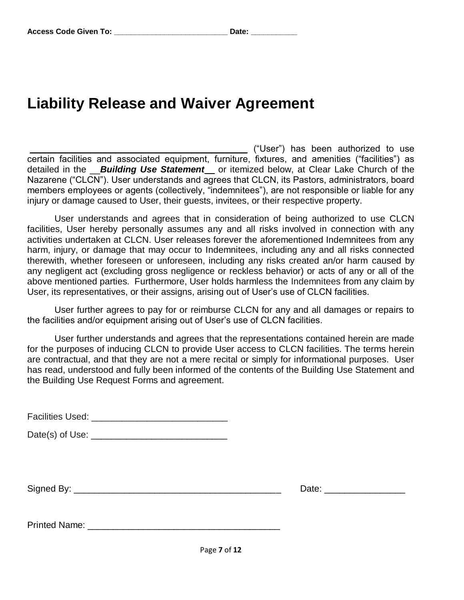## **Liability Release and Waiver Agreement**

\_\_\_\_\_\_\_\_\_\_\_\_\_\_\_\_\_\_\_\_\_\_\_\_\_\_\_\_\_\_\_\_\_\_\_\_\_\_\_\_\_\_\_ ("User") has been authorized to use certain facilities and associated equipment, furniture, fixtures, and amenities ("facilities") as detailed in the \_\_*Building Use Statement\_\_* or itemized below, at Clear Lake Church of the Nazarene ("CLCN"). User understands and agrees that CLCN, its Pastors, administrators, board members employees or agents (collectively, "indemnitees"), are not responsible or liable for any injury or damage caused to User, their guests, invitees, or their respective property.

User understands and agrees that in consideration of being authorized to use CLCN facilities, User hereby personally assumes any and all risks involved in connection with any activities undertaken at CLCN. User releases forever the aforementioned Indemnitees from any harm, injury, or damage that may occur to Indemnitees, including any and all risks connected therewith, whether foreseen or unforeseen, including any risks created an/or harm caused by any negligent act (excluding gross negligence or reckless behavior) or acts of any or all of the above mentioned parties. Furthermore, User holds harmless the Indemnitees from any claim by User, its representatives, or their assigns, arising out of User's use of CLCN facilities.

User further agrees to pay for or reimburse CLCN for any and all damages or repairs to the facilities and/or equipment arising out of User's use of CLCN facilities.

User further understands and agrees that the representations contained herein are made for the purposes of inducing CLCN to provide User access to CLCN facilities. The terms herein are contractual, and that they are not a mere recital or simply for informational purposes. User has read, understood and fully been informed of the contents of the Building Use Statement and the Building Use Request Forms and agreement.

| <b>Facilities Used:</b> |  |
|-------------------------|--|
|-------------------------|--|

Date(s) of Use: \_\_\_\_\_\_\_\_\_\_\_\_\_\_\_\_\_\_\_\_\_\_\_\_\_\_\_

Signed By: \_\_\_\_\_\_\_\_\_\_\_\_\_\_\_\_\_\_\_\_\_\_\_\_\_\_\_\_\_\_\_\_\_\_\_\_\_\_\_\_\_ Date: \_\_\_\_\_\_\_\_\_\_\_\_\_\_\_\_

Printed Name: \_\_\_\_\_\_\_\_\_\_\_\_\_\_\_\_\_\_\_\_\_\_\_\_\_\_\_\_\_\_\_\_\_\_\_\_\_\_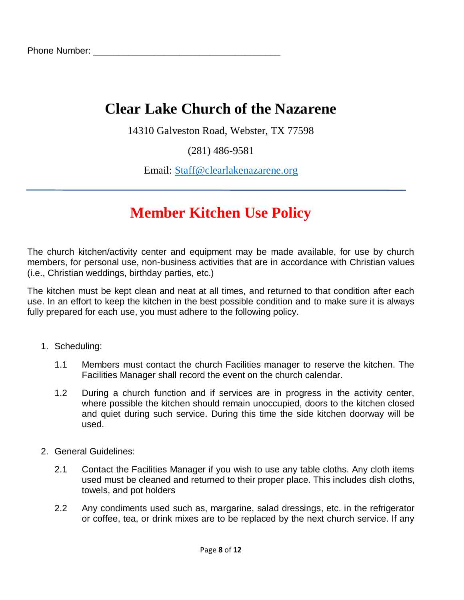14310 Galveston Road, Webster, TX 77598

(281) 486-9581

Email: [Staff@clearlakenazarene.org](mailto:Staff@clearlakenazarene.org)

## **Member Kitchen Use Policy**

The church kitchen/activity center and equipment may be made available, for use by church members, for personal use, non-business activities that are in accordance with Christian values (i.e., Christian weddings, birthday parties, etc.)

The kitchen must be kept clean and neat at all times, and returned to that condition after each use. In an effort to keep the kitchen in the best possible condition and to make sure it is always fully prepared for each use, you must adhere to the following policy.

- 1. Scheduling:
	- 1.1 Members must contact the church Facilities manager to reserve the kitchen. The Facilities Manager shall record the event on the church calendar.
	- 1.2 During a church function and if services are in progress in the activity center, where possible the kitchen should remain unoccupied, doors to the kitchen closed and quiet during such service. During this time the side kitchen doorway will be used.
- 2. General Guidelines:
	- 2.1 Contact the Facilities Manager if you wish to use any table cloths. Any cloth items used must be cleaned and returned to their proper place. This includes dish cloths, towels, and pot holders
	- 2.2 Any condiments used such as, margarine, salad dressings, etc. in the refrigerator or coffee, tea, or drink mixes are to be replaced by the next church service. If any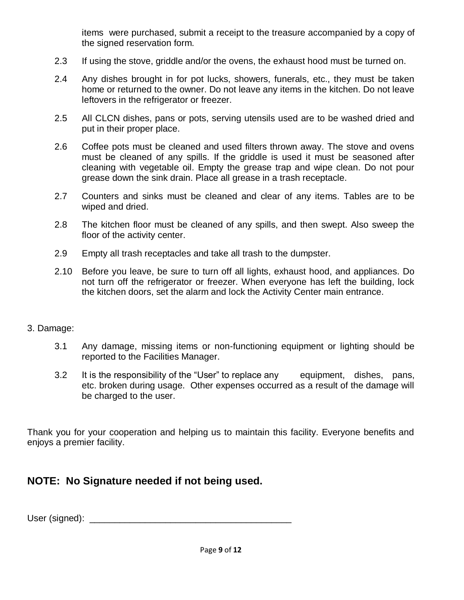items were purchased, submit a receipt to the treasure accompanied by a copy of the signed reservation form.

- 2.3 If using the stove, griddle and/or the ovens, the exhaust hood must be turned on.
- 2.4 Any dishes brought in for pot lucks, showers, funerals, etc., they must be taken home or returned to the owner. Do not leave any items in the kitchen. Do not leave leftovers in the refrigerator or freezer.
- 2.5 All CLCN dishes, pans or pots, serving utensils used are to be washed dried and put in their proper place.
- 2.6 Coffee pots must be cleaned and used filters thrown away. The stove and ovens must be cleaned of any spills. If the griddle is used it must be seasoned after cleaning with vegetable oil. Empty the grease trap and wipe clean. Do not pour grease down the sink drain. Place all grease in a trash receptacle.
- 2.7 Counters and sinks must be cleaned and clear of any items. Tables are to be wiped and dried.
- 2.8 The kitchen floor must be cleaned of any spills, and then swept. Also sweep the floor of the activity center.
- 2.9 Empty all trash receptacles and take all trash to the dumpster.
- 2.10 Before you leave, be sure to turn off all lights, exhaust hood, and appliances. Do not turn off the refrigerator or freezer. When everyone has left the building, lock the kitchen doors, set the alarm and lock the Activity Center main entrance.

#### 3. Damage:

- 3.1 Any damage, missing items or non-functioning equipment or lighting should be reported to the Facilities Manager.
- 3.2 It is the responsibility of the "User" to replace any equipment, dishes, pans, etc. broken during usage. Other expenses occurred as a result of the damage will be charged to the user.

Thank you for your cooperation and helping us to maintain this facility. Everyone benefits and enjoys a premier facility.

## **NOTE: No Signature needed if not being used.**

User (signed): \_\_\_\_\_\_\_\_\_\_\_\_\_\_\_\_\_\_\_\_\_\_\_\_\_\_\_\_\_\_\_\_\_\_\_\_\_\_\_\_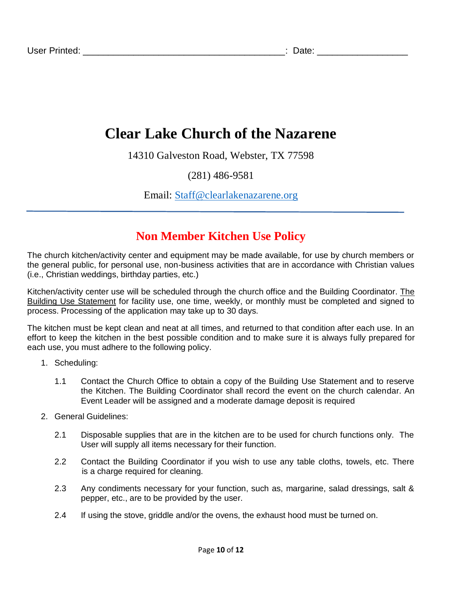14310 Galveston Road, Webster, TX 77598

## (281) 486-9581

Email: [Staff@clearlakenazarene.org](mailto:Staff@clearlakenazarene.org)

## **Non Member Kitchen Use Policy**

The church kitchen/activity center and equipment may be made available, for use by church members or the general public, for personal use, non-business activities that are in accordance with Christian values (i.e., Christian weddings, birthday parties, etc.)

Kitchen/activity center use will be scheduled through the church office and the Building Coordinator. The Building Use Statement for facility use, one time, weekly, or monthly must be completed and signed to process. Processing of the application may take up to 30 days.

The kitchen must be kept clean and neat at all times, and returned to that condition after each use. In an effort to keep the kitchen in the best possible condition and to make sure it is always fully prepared for each use, you must adhere to the following policy.

- 1. Scheduling:
	- 1.1 Contact the Church Office to obtain a copy of the Building Use Statement and to reserve the Kitchen. The Building Coordinator shall record the event on the church calendar. An Event Leader will be assigned and a moderate damage deposit is required
- 2. General Guidelines:
	- 2.1 Disposable supplies that are in the kitchen are to be used for church functions only. The User will supply all items necessary for their function.
	- 2.2 Contact the Building Coordinator if you wish to use any table cloths, towels, etc. There is a charge required for cleaning.
	- 2.3 Any condiments necessary for your function, such as, margarine, salad dressings, salt & pepper, etc., are to be provided by the user.
	- 2.4 If using the stove, griddle and/or the ovens, the exhaust hood must be turned on.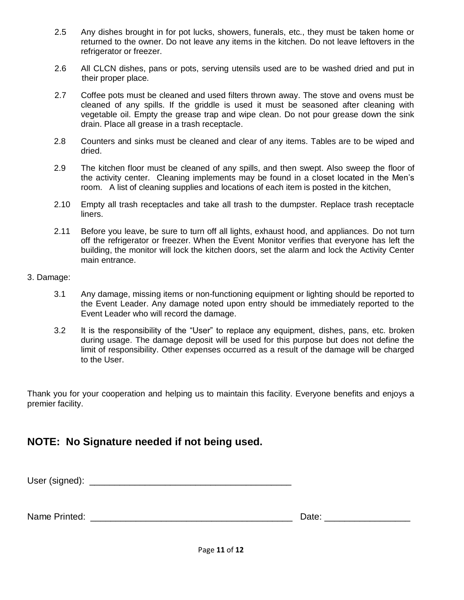- 2.5 Any dishes brought in for pot lucks, showers, funerals, etc., they must be taken home or returned to the owner. Do not leave any items in the kitchen. Do not leave leftovers in the refrigerator or freezer.
- 2.6 All CLCN dishes, pans or pots, serving utensils used are to be washed dried and put in their proper place.
- 2.7 Coffee pots must be cleaned and used filters thrown away. The stove and ovens must be cleaned of any spills. If the griddle is used it must be seasoned after cleaning with vegetable oil. Empty the grease trap and wipe clean. Do not pour grease down the sink drain. Place all grease in a trash receptacle.
- 2.8 Counters and sinks must be cleaned and clear of any items. Tables are to be wiped and dried.
- 2.9 The kitchen floor must be cleaned of any spills, and then swept. Also sweep the floor of the activity center. Cleaning implements may be found in a closet located in the Men's room. A list of cleaning supplies and locations of each item is posted in the kitchen,
- 2.10 Empty all trash receptacles and take all trash to the dumpster. Replace trash receptacle liners.
- 2.11 Before you leave, be sure to turn off all lights, exhaust hood, and appliances. Do not turn off the refrigerator or freezer. When the Event Monitor verifies that everyone has left the building, the monitor will lock the kitchen doors, set the alarm and lock the Activity Center main entrance.
- 3. Damage:
	- 3.1 Any damage, missing items or non-functioning equipment or lighting should be reported to the Event Leader. Any damage noted upon entry should be immediately reported to the Event Leader who will record the damage.
	- 3.2 It is the responsibility of the "User" to replace any equipment, dishes, pans, etc. broken during usage. The damage deposit will be used for this purpose but does not define the limit of responsibility. Other expenses occurred as a result of the damage will be charged to the User.

Thank you for your cooperation and helping us to maintain this facility. Everyone benefits and enjoys a premier facility.

## **NOTE: No Signature needed if not being used.**

User (signed): \_\_\_\_\_\_\_\_\_\_\_\_\_\_\_\_\_\_\_\_\_\_\_\_\_\_\_\_\_\_\_\_\_\_\_\_\_\_\_\_

Name Printed: **Washington**  $\mathbf{Q}$ 

| Date: |  |  |  |  |
|-------|--|--|--|--|
|       |  |  |  |  |